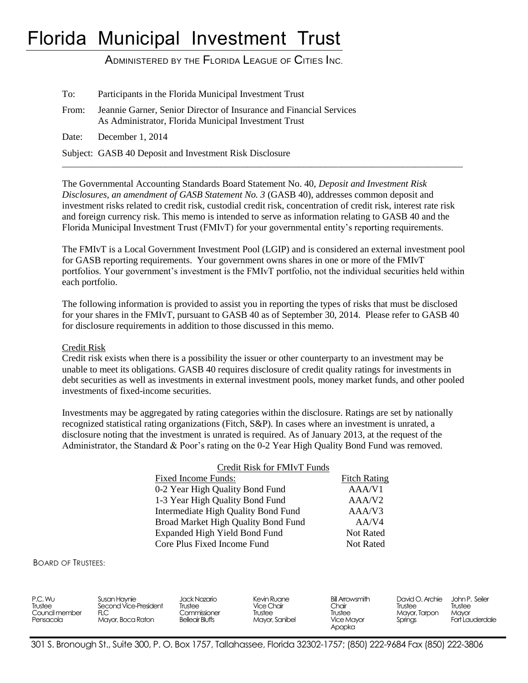# Florida Municipal Investment Trust

ADMINISTERED BY THE FLORIDA LEAGUE OF CITIES INC.

| To:   | Participants in the Florida Municipal Investment Trust                                                                      |
|-------|-----------------------------------------------------------------------------------------------------------------------------|
| From: | Jeannie Garner, Senior Director of Insurance and Financial Services<br>As Administrator, Florida Municipal Investment Trust |
|       | Date: December 1, 2014                                                                                                      |
|       | Subject: GASB 40 Deposit and Investment Risk Disclosure                                                                     |

The Governmental Accounting Standards Board Statement No. 40, *Deposit and Investment Risk Disclosures, an amendment of GASB Statement No. 3* (GASB 40), addresses common deposit and investment risks related to credit risk, custodial credit risk, concentration of credit risk, interest rate risk and foreign currency risk. This memo is intended to serve as information relating to GASB 40 and the Florida Municipal Investment Trust (FMIvT) for your governmental entity's reporting requirements.

 $\overline{a_1}$  ,  $\overline{a_2}$  ,  $\overline{a_3}$  ,  $\overline{a_4}$  ,  $\overline{a_5}$  ,  $\overline{a_6}$  ,  $\overline{a_7}$  ,  $\overline{a_8}$  ,  $\overline{a_9}$  ,  $\overline{a_9}$  ,  $\overline{a_9}$  ,  $\overline{a_9}$  ,  $\overline{a_9}$  ,  $\overline{a_9}$  ,  $\overline{a_9}$  ,  $\overline{a_9}$  ,  $\overline{a_9}$  ,

The FMIvT is a Local Government Investment Pool (LGIP) and is considered an external investment pool for GASB reporting requirements. Your government owns shares in one or more of the FMIvT portfolios. Your government's investment is the FMIvT portfolio, not the individual securities held within each portfolio.

The following information is provided to assist you in reporting the types of risks that must be disclosed for your shares in the FMIvT, pursuant to GASB 40 as of September 30, 2014. Please refer to GASB 40 for disclosure requirements in addition to those discussed in this memo.

### Credit Risk

Credit risk exists when there is a possibility the issuer or other counterparty to an investment may be unable to meet its obligations. GASB 40 requires disclosure of credit quality ratings for investments in debt securities as well as investments in external investment pools, money market funds, and other pooled investments of fixed-income securities.

Investments may be aggregated by rating categories within the disclosure. Ratings are set by nationally recognized statistical rating organizations (Fitch, S&P). In cases where an investment is unrated, a disclosure noting that the investment is unrated is required. As of January 2013, at the request of the Administrator, the Standard & Poor's rating on the 0-2 Year High Quality Bond Fund was removed.

| Credit Risk for FMIvT Funds         |                     |
|-------------------------------------|---------------------|
| Fixed Income Funds:                 | <b>Fitch Rating</b> |
| 0-2 Year High Quality Bond Fund     | AAA/V1              |
| 1-3 Year High Quality Bond Fund     | AAA/V <sub>2</sub>  |
| Intermediate High Quality Bond Fund | AAA/V3              |
| Broad Market High Quality Bond Fund | AA/V4               |
| Expanded High Yield Bond Fund       | <b>Not Rated</b>    |
| Core Plus Fixed Income Fund         | <b>Not Rated</b>    |

#### BOARD OF TRUSTEES:

| P.C. Wu<br>Trustee<br>Council member<br>Pensacola | Susan Havnie<br>Second Vice-President<br>Mayor, Boca Raton | Jack Nazario<br>Trustee<br>Commissioner<br><b>Belleair Bluffs</b> | Kevin Ruane<br>Vice Chair<br>Trustee<br>Mayor, Sanibel | Bill Arrowsmith<br>Chair<br>Trustee<br>Vice Mayor<br>Apopka | David O. Archie<br>Trustee<br>Mayor, Tarpon<br>Springs | John P. Seiler<br>Trustee<br>Mavor<br>Fort Lauderdale |
|---------------------------------------------------|------------------------------------------------------------|-------------------------------------------------------------------|--------------------------------------------------------|-------------------------------------------------------------|--------------------------------------------------------|-------------------------------------------------------|
|---------------------------------------------------|------------------------------------------------------------|-------------------------------------------------------------------|--------------------------------------------------------|-------------------------------------------------------------|--------------------------------------------------------|-------------------------------------------------------|

301 S. Bronough St., Suite 300, P. O. Box 1757, Tallahassee, Florida 32302-1757; (850) 222-9684 Fax (850) 222-3806